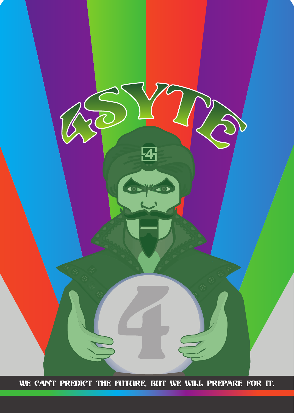

We can't predict the future, but we will prepare for it.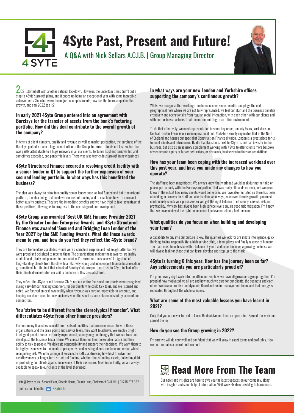**4Syte Past, Present and Future!** A Q&A with Nick Sellars A.C.I.B. | Group Managing Director



 $\angle$ 021 started off with another national lockdown. However, the uncertain times didn't put a stop to 4Syte's growth plans, and it ended up being an exceptional year with some incredible achievements. So, what were the major accomplishments, how has the team supported the growth, and can 2022 top it?

## **In early 2021 4Syte Group entered into an agreement with Barclays for the transfer of assets from the bank's factoring portfolio. How did this deal contribute to the overall growth of the company?**

In terms of client numbers, quality and revenue as well as market perception, the purchase of the Barclays portfolio made a huge contribution to the Group. In terms of funds out less so, but that was partly attributable to a huge recovery in all our clients' fortunes as client turnover hit, and sometimes exceeded, pre-pandemic levels. There was also tremendous growth in new business.

## **4Syte Structured Finance secured a revolving credit facility with a senior lender in Q1 to support the further expansion of your secured lending portfolio. In what ways has this benefitted the business?**

The plan was always to bring in a quality senior lender once we had funded and built the original platform, the idea being to drive down our cost of funding and to enable us to write more and better-quality business. They are the immediate benefits and we have tried to take advantage of these positives, allowing us to progress to the next stage of our development.

## **4Syte Group was awarded 'Best UK SME Finance Provider 2021' by the Greater London Enterprise Awards, and 4Syte Structured Finance was awarded 'Secured and Bridging Loan Lender of the Year 2021' by the SME Funding Awards. What did these awards mean to you, and how do you feel they reflect the 4Syte brand?**

They are tremendous accolades, which were a complete surprise and not sought after but we were proud and delighted to receive them. The organisations making these awards are highly credible and totally independent in their choice. I'm sure that the successful migration of long-standing clients from Barclays to a relatively young and independent finance business didn't go unnoticed, but the fact that a bank of Barclays' stature put their trust in 4Syte to 'look after' their clients demonstrated our ability and care in this specialist area.

They reflect the 4Syte brand because SMEs are our entire focus and our efforts were recognised during very difficult trading conditions for our clients who could talk to us, and we listened and acted. We focused on cash availability when revenue was hard or impossible to generate, and keeping our doors open for new business when the shutters were slammed shut by some of our competitors.

## You 'strive to be different from the stereotypical financier'. What differentiates 4Syte from other finance providers?

I'm sure many financiers have different sets of qualities that are commensurate with those organisations and the price points and service levels they want to achieve. We employ bright, intelligent people; some extremely experienced, some young and hungry that we can train and develop, so the business has a future. We choose them for their personable nature and their ability to talk to people. We delegate responsibility and support their decisions. We want them to be highly responsive to the needs of prospective and existing clients and be commercial, whilst recognising risk. We offer a range of services to SMEs, addressing how best to solve their cashflow needs or longer term structural funding; whether that's funding assets, collecting debt or protecting our clients against insolvency of their customers. Most importantly, we are always available to speak to our clients at the level they need.

#### Join us on LinkedIn: **in** 4Syte Ltd info@4syte.co.uk | Second Floor, Steeple House, Church Lane, Chelmsford CM1 1NH | 01245 377 032 uur news and insights and some helpful information. Visit www.4syte.co.uk/blog to learn more.<br>with insights and some helpful i

## **In what ways are your new London and Yorkshire offices supporting the company's continuous growth?**

Whilst we recognise that working from home carries some benefits and plugs the odd geographical hole where we are not fully represented, we feel our staff and the business benefits creatively and operationally from regular social interaction, with each other, with our clients and with our business partners. That means committing to an office environment.

To do that effectively, we need representation in some key areas, namely Essex, Yorkshire and Central London. Essex is our main operational hub. Yorkshire simply replicates that in the North of England and houses our specialist Construction Finance division. London is a great place for us to meet clients and introducers. Balder Capital stands next to 4Syte as both an investor in the business, but also as an advisory complement working with 4Syte to offer clients more bespoke advice around equity or larger debt raises, or disposals, business valuations or acquisitions.

#### **How has your team been coping with the increased workload over this past year, and have you made any changes to how you operate?**

The staff have been magnificent. We always knew that workload would peak during the take-on phase, particularly with the Barclays migration. That was really all hands on deck, and we never knew at the outset how many clients would come over. We have also recruited so there has been a bedding in process for staff and clients alike. As always, whenever there is growth, you must continuously check your processes so you get the right balance of efficiency, service, risk and profitability. My view has always been high service levels equals good risk mitigation. I'm happy that we have achieved the right balance and I believe our clients feel the same.

## **What qualities do you focus on when building and developing your team?**

A capability to buy into our culture is key. The qualities we look for are innate intelligence, quick thinking, taking responsibility, a high service ethic, a team player and finally a sense of humour. The team must be cohesive with a balance of youth and experience. As a growing business we will always look for those that can learn, develop and step up to the mark.

#### **4Syte is turning 6 this year. How has the journey been so far? Any achievements you are particularly proud of?**

I'm proud every day I walk into the office and see how we have all grown as a group together. I'm proud of how motivated we all are and how much we care for our clients, the business and each other. We have a creative and dynamic Board and senior management team, and that energy is replicated throughout the whole company.

#### **What are some of the most valuable lessons you have learnt in 2021?**

Only that you are never too old to learn. Be decisive and keep an open mind. Spread the work and spread the joy!

## **How do you see the Group growing in 2022?**

I'm sure we will do very well and confident that we will grow in asset terms and profitably. How we do it remains a secret until we do it.

# **Read More From The Team**

Our news and insights are here to give you the latest updates on our company, along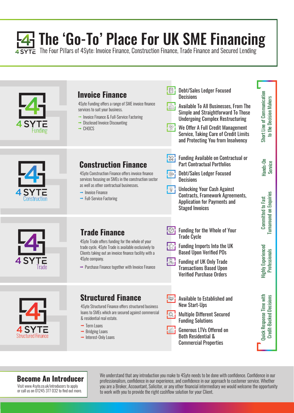# $\overline{4}$  The 'Go-To' Place For UK SME Financing<br>
SYTE The Four Pillars of 4Syte: Invoice Finance, Construction Finance, Trade Finance and Secured Lending



## **Invoice Finance**

4Syte Funding offers a range of SME invoice finance services to suit your business.

- $\rightarrow$  Invoice Finance & Full-Service Factoring
- $\rightarrow$  Disclosed Invoice Discounting
- $\rightarrow$  CHOCS



## **Construction Finance**

4Syte Construction Finance offers invoice finance services focusing on SMEs in the construction sector as well as other contractual businesses.

- $\rightarrow$  Invoice Finance
- $\rightarrow$  Full-Service Factoring

## **Trade Finance**

4Syte Trade offers funding for the whole of your trade cycle. 4Syte Trade is available exclusively to Clients taking out an invoice finance facility with a 4Syte company.

 $\rightarrow$  Purchase Finance together with Invoice Finance



## **Structured Finance**

4Syte Structured Finance offers structured business loans to SMEs which are secured against commercial & residential real estate.

- $\rightarrow$  Term Loans
- $\rightarrow$  Bridging Loans
- $\rightarrow$  Interest-Only Loans

## Debt/Sales Ledger Focused **Decisions**

 $\mathsf{Im}$ 

- $\ln$ Available To All Businesses, From The Simple and Straightforward To Those Undergoing Complex Restructuring
- $\overline{\mathbb{P}}_1$ We Offer A Full Credit Management Service, Taking Care of Credit Limits and Protecting You from Insolvency
- $\mathbb{R}^2$ Funding Available on Contractual or Part Contractual Portfolios
- $\overline{\mathbb{Q}}$  . Debt/Sales Ledger Focused **Decisions**
- Unlocking Your Cash Against  $-\oplus$ Contracts, Framework Agreements, Application for Payments and Staged Invoices
- $\cdot \circ$ Funding for the Whole of Your Trade Cycle
- !☆¦ Funding Imports Into the UK Based Upon Verified POs

Highly Experienced Professionals

**Highly Experienced Professionals** 

Committed to Fast Turnaround on Enquiries

**Turnaround on Enquiries Committed to Fast** 

Hands-On Service

Short Line of Communication to the Decision Makers

Short Line of Communication to the Decision Makers

Quick Response Time with Credit-Backed Decisions

**Quick Response Time with Credit-Backed Decisions** 

- | 9 | Funding of UK Only Trade Transactions Based Upon Verified Purchase Orders
- $\mathbf{I}_{\mathbb{R}}$ Available to Established and New Start-Ups
	- Multiple Different Secured Funding Solutions
	- Generous LTVs Offered on Both Residential & Commercial Properties

Visit www.4syte.co.uk/introducers to apply or call us on 01245 377 032 to find out more.

**Become An Introducer** We understand that any introduction you make to 4Syte needs to be done with confidence. Confidence in our professionalism, confidence in our experience, and confidence in our approach to customer se you are a Broker, Accountant, Solicitor, or any other financial intermediary we would welcome the opportunity to work with you to provide the right cashflow solution for your Client.

 $\overline{\mathbb{Q}}$ 

 $\mathbb{E}$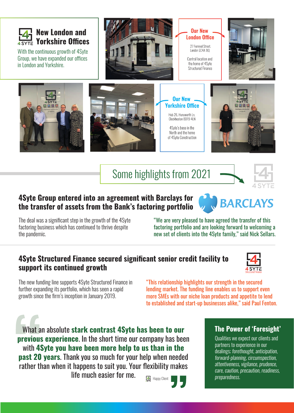

With the continuous growth of 4Syte Group, we have expanded our offices in London and Yorkshire.



**Our New London Office** 

> 27 Furnival Street. London EC4A 1JQ

Central location and the home of 4Svte **Structured Finance** 







**Our New Yorkshire Office** Hub 26. Hunsworth In. Cleckheaton BD19 4LN

4Syte's base in the North and the home of 4Syte Construction



# Some highlights from 2021



## **4Syte Group entered into an agreement with Barclays for the transfer of assets from the Bank's factoring portfolio**

The deal was a significant step in the growth of the 4Syte factoring business which has continued to thrive despite the pandemic.

"We are very pleased to have agreed the transfer of this factoring portfolio and are looking forward to welcoming a new set of clients into the 4Syte family," said Nick Sellars.

## **4Syte Structured Finance secured significant senior credit facility to support its continued growth**



**BARCLAYS** 

The new funding line supports 4Syte Structured Finance in further expanding its portfolio, which has seen a rapid growth since the firm's inception in January 2019.

"This relationship highlights our strength in the secured lending market. The funding line enables us to support even more SMEs with our niche loan products and appetite to lend to established and start-up businesses alike," said Paul Fenton.

What an absolute **stark contrast 4Syte has been to our previous experience**. In the short time our company has been with **4Syte you have been more help to us than in the past 20 years**. Thank you so much for your help when needed rather than when it happens to suit you. Your flexibility makes

life much easier for me.  $\Box$  Happy Client



## **The Power of 'Foresight'**

Qualities we expect our clients and partners to experience in our dealings; *forethought, anticipation, forward-planning, circumspection, attentiveness, vigilance, prudence, care, caution, precaution, readiness, preparedness.*